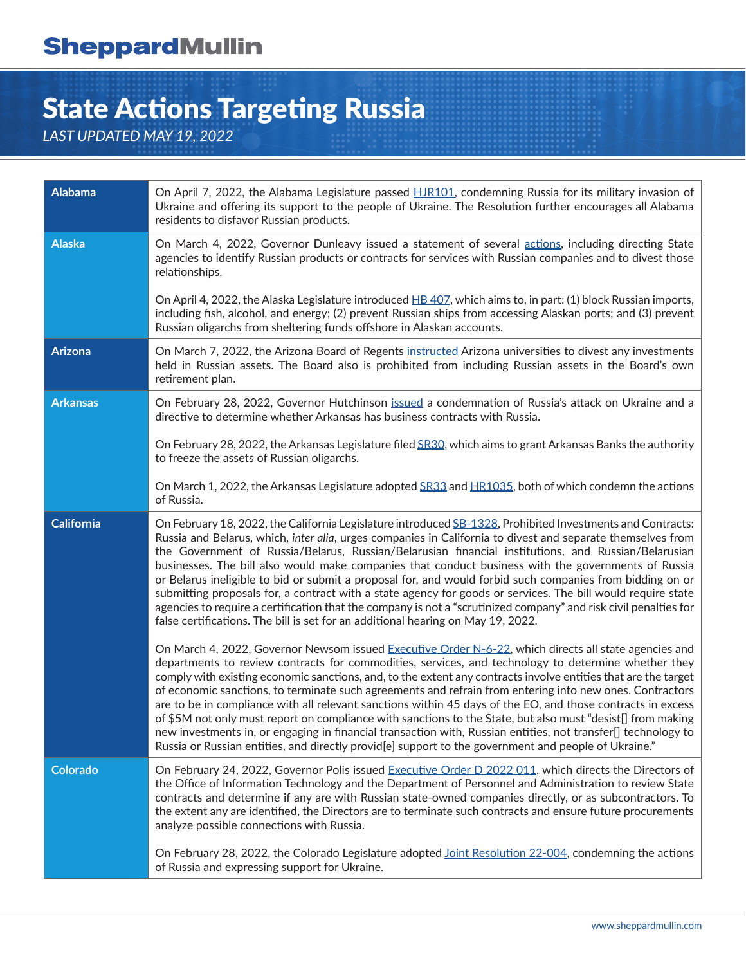# State Actions Targeting Russia

*LAST UPDATED MAY 19, 2022*

| <b>Alabama</b>    | On April 7, 2022, the Alabama Legislature passed HJR101, condemning Russia for its military invasion of<br>Ukraine and offering its support to the people of Ukraine. The Resolution further encourages all Alabama<br>residents to disfavor Russian products.                                                                                                                                                                                                                                                                                                                                                                                                                                                                                                                                                                                                                                    |
|-------------------|---------------------------------------------------------------------------------------------------------------------------------------------------------------------------------------------------------------------------------------------------------------------------------------------------------------------------------------------------------------------------------------------------------------------------------------------------------------------------------------------------------------------------------------------------------------------------------------------------------------------------------------------------------------------------------------------------------------------------------------------------------------------------------------------------------------------------------------------------------------------------------------------------|
| <b>Alaska</b>     | On March 4, 2022, Governor Dunleavy issued a statement of several actions, including directing State<br>agencies to identify Russian products or contracts for services with Russian companies and to divest those<br>relationships.                                                                                                                                                                                                                                                                                                                                                                                                                                                                                                                                                                                                                                                              |
|                   | On April 4, 2022, the Alaska Legislature introduced HB 407, which aims to, in part: (1) block Russian imports,<br>including fish, alcohol, and energy; (2) prevent Russian ships from accessing Alaskan ports; and (3) prevent<br>Russian oligarchs from sheltering funds offshore in Alaskan accounts.                                                                                                                                                                                                                                                                                                                                                                                                                                                                                                                                                                                           |
| <b>Arizona</b>    | On March 7, 2022, the Arizona Board of Regents instructed Arizona universities to divest any investments<br>held in Russian assets. The Board also is prohibited from including Russian assets in the Board's own<br>retirement plan.                                                                                                                                                                                                                                                                                                                                                                                                                                                                                                                                                                                                                                                             |
| <b>Arkansas</b>   | On February 28, 2022, Governor Hutchinson issued a condemnation of Russia's attack on Ukraine and a<br>directive to determine whether Arkansas has business contracts with Russia.                                                                                                                                                                                                                                                                                                                                                                                                                                                                                                                                                                                                                                                                                                                |
|                   | On February 28, 2022, the Arkansas Legislature filed SR30, which aims to grant Arkansas Banks the authority<br>to freeze the assets of Russian oligarchs.                                                                                                                                                                                                                                                                                                                                                                                                                                                                                                                                                                                                                                                                                                                                         |
|                   | On March 1, 2022, the Arkansas Legislature adopted SR33 and HR1035, both of which condemn the actions<br>of Russia.                                                                                                                                                                                                                                                                                                                                                                                                                                                                                                                                                                                                                                                                                                                                                                               |
| <b>California</b> | On February 18, 2022, the California Legislature introduced SB-1328, Prohibited Investments and Contracts:<br>Russia and Belarus, which, inter alia, urges companies in California to divest and separate themselves from<br>the Government of Russia/Belarus, Russian/Belarusian financial institutions, and Russian/Belarusian<br>businesses. The bill also would make companies that conduct business with the governments of Russia<br>or Belarus ineligible to bid or submit a proposal for, and would forbid such companies from bidding on or<br>submitting proposals for, a contract with a state agency for goods or services. The bill would require state<br>agencies to require a certification that the company is not a "scrutinized company" and risk civil penalties for<br>false certifications. The bill is set for an additional hearing on May 19, 2022.                      |
|                   | On March 4, 2022, Governor Newsom issued Executive Order N-6-22, which directs all state agencies and<br>departments to review contracts for commodities, services, and technology to determine whether they<br>comply with existing economic sanctions, and, to the extent any contracts involve entities that are the target<br>of economic sanctions, to terminate such agreements and refrain from entering into new ones. Contractors<br>are to be in compliance with all relevant sanctions within 45 days of the EO, and those contracts in excess<br>of \$5M not only must report on compliance with sanctions to the State, but also must "desist[] from making<br>new investments in, or engaging in financial transaction with, Russian entities, not transfer[] technology to<br>Russia or Russian entities, and directly provid[e] support to the government and people of Ukraine." |
| <b>Colorado</b>   | On February 24, 2022, Governor Polis issued Executive Order D 2022 011, which directs the Directors of<br>the Office of Information Technology and the Department of Personnel and Administration to review State<br>contracts and determine if any are with Russian state-owned companies directly, or as subcontractors. To<br>the extent any are identified, the Directors are to terminate such contracts and ensure future procurements<br>analyze possible connections with Russia.                                                                                                                                                                                                                                                                                                                                                                                                         |
|                   | On February 28, 2022, the Colorado Legislature adopted Joint Resolution 22-004, condemning the actions<br>of Russia and expressing support for Ukraine.                                                                                                                                                                                                                                                                                                                                                                                                                                                                                                                                                                                                                                                                                                                                           |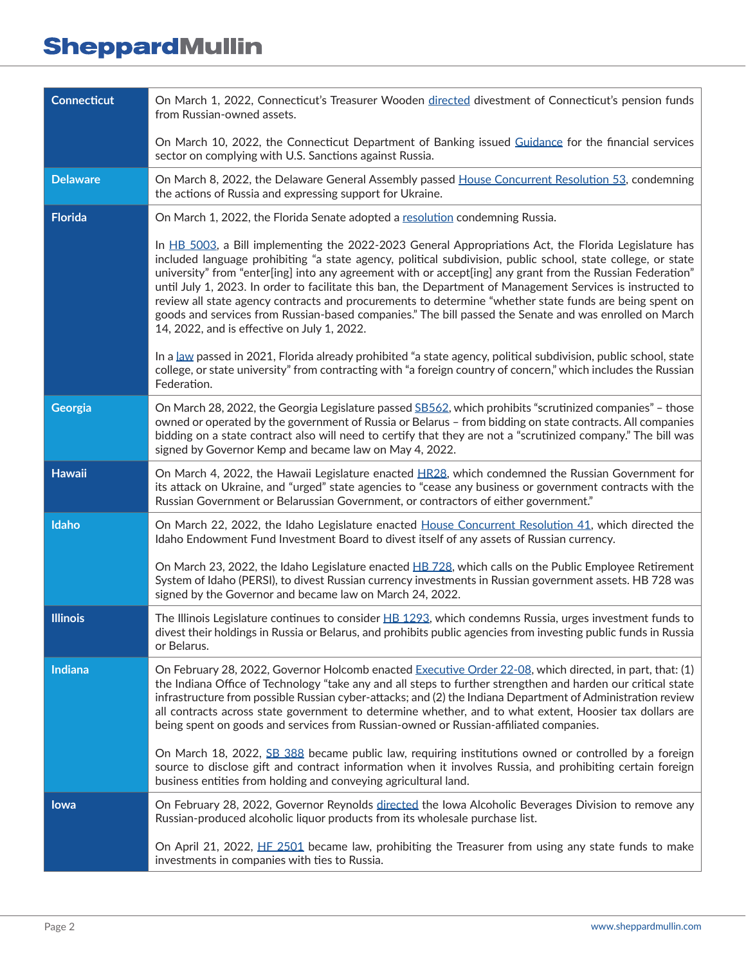| <b>Connecticut</b> | On March 1, 2022, Connecticut's Treasurer Wooden directed divestment of Connecticut's pension funds<br>from Russian-owned assets.                                                                                                                                                                                                                                                                                                                                                                                                                                                                                                                                                                                      |
|--------------------|------------------------------------------------------------------------------------------------------------------------------------------------------------------------------------------------------------------------------------------------------------------------------------------------------------------------------------------------------------------------------------------------------------------------------------------------------------------------------------------------------------------------------------------------------------------------------------------------------------------------------------------------------------------------------------------------------------------------|
|                    | On March 10, 2022, the Connecticut Department of Banking issued Guidance for the financial services<br>sector on complying with U.S. Sanctions against Russia.                                                                                                                                                                                                                                                                                                                                                                                                                                                                                                                                                         |
| <b>Delaware</b>    | On March 8, 2022, the Delaware General Assembly passed House Concurrent Resolution 53, condemning<br>the actions of Russia and expressing support for Ukraine.                                                                                                                                                                                                                                                                                                                                                                                                                                                                                                                                                         |
| <b>Florida</b>     | On March 1, 2022, the Florida Senate adopted a resolution condemning Russia.                                                                                                                                                                                                                                                                                                                                                                                                                                                                                                                                                                                                                                           |
|                    | In HB 5003, a Bill implementing the 2022-2023 General Appropriations Act, the Florida Legislature has<br>included language prohibiting "a state agency, political subdivision, public school, state college, or state<br>university" from "enter[ing] into any agreement with or accept[ing] any grant from the Russian Federation"<br>until July 1, 2023. In order to facilitate this ban, the Department of Management Services is instructed to<br>review all state agency contracts and procurements to determine "whether state funds are being spent on<br>goods and services from Russian-based companies." The bill passed the Senate and was enrolled on March<br>14, 2022, and is effective on July 1, 2022. |
|                    | In a law passed in 2021, Florida already prohibited "a state agency, political subdivision, public school, state<br>college, or state university" from contracting with "a foreign country of concern," which includes the Russian<br>Federation.                                                                                                                                                                                                                                                                                                                                                                                                                                                                      |
| Georgia            | On March 28, 2022, the Georgia Legislature passed SB562, which prohibits "scrutinized companies" - those<br>owned or operated by the government of Russia or Belarus - from bidding on state contracts. All companies<br>bidding on a state contract also will need to certify that they are not a "scrutinized company." The bill was<br>signed by Governor Kemp and became law on May 4, 2022.                                                                                                                                                                                                                                                                                                                       |
| <b>Hawaii</b>      | On March 4, 2022, the Hawaii Legislature enacted HR28, which condemned the Russian Government for<br>its attack on Ukraine, and "urged" state agencies to "cease any business or government contracts with the<br>Russian Government or Belarussian Government, or contractors of either government."                                                                                                                                                                                                                                                                                                                                                                                                                  |
| Idaho              | On March 22, 2022, the Idaho Legislature enacted House Concurrent Resolution 41, which directed the<br>Idaho Endowment Fund Investment Board to divest itself of any assets of Russian currency.                                                                                                                                                                                                                                                                                                                                                                                                                                                                                                                       |
|                    | On March 23, 2022, the Idaho Legislature enacted HB 728, which calls on the Public Employee Retirement<br>System of Idaho (PERSI), to divest Russian currency investments in Russian government assets. HB 728 was<br>signed by the Governor and became law on March 24, 2022.                                                                                                                                                                                                                                                                                                                                                                                                                                         |
| <b>Illinois</b>    | The Illinois Legislature continues to consider $H\text{B}$ 1293, which condemns Russia, urges investment funds to<br>divest their holdings in Russia or Belarus, and prohibits public agencies from investing public funds in Russia<br>or Belarus.                                                                                                                                                                                                                                                                                                                                                                                                                                                                    |
| Indiana            | On February 28, 2022, Governor Holcomb enacted Executive Order 22-08, which directed, in part, that: (1)<br>the Indiana Office of Technology "take any and all steps to further strengthen and harden our critical state<br>infrastructure from possible Russian cyber-attacks; and (2) the Indiana Department of Administration review<br>all contracts across state government to determine whether, and to what extent, Hoosier tax dollars are<br>being spent on goods and services from Russian-owned or Russian-affiliated companies.                                                                                                                                                                            |
|                    | On March 18, 2022, SB 388 became public law, requiring institutions owned or controlled by a foreign<br>source to disclose gift and contract information when it involves Russia, and prohibiting certain foreign<br>business entities from holding and conveying agricultural land.                                                                                                                                                                                                                                                                                                                                                                                                                                   |
| lowa               | On February 28, 2022, Governor Reynolds directed the Iowa Alcoholic Beverages Division to remove any<br>Russian-produced alcoholic liquor products from its wholesale purchase list.                                                                                                                                                                                                                                                                                                                                                                                                                                                                                                                                   |
|                    | On April 21, 2022, HF 2501 became law, prohibiting the Treasurer from using any state funds to make<br>investments in companies with ties to Russia.                                                                                                                                                                                                                                                                                                                                                                                                                                                                                                                                                                   |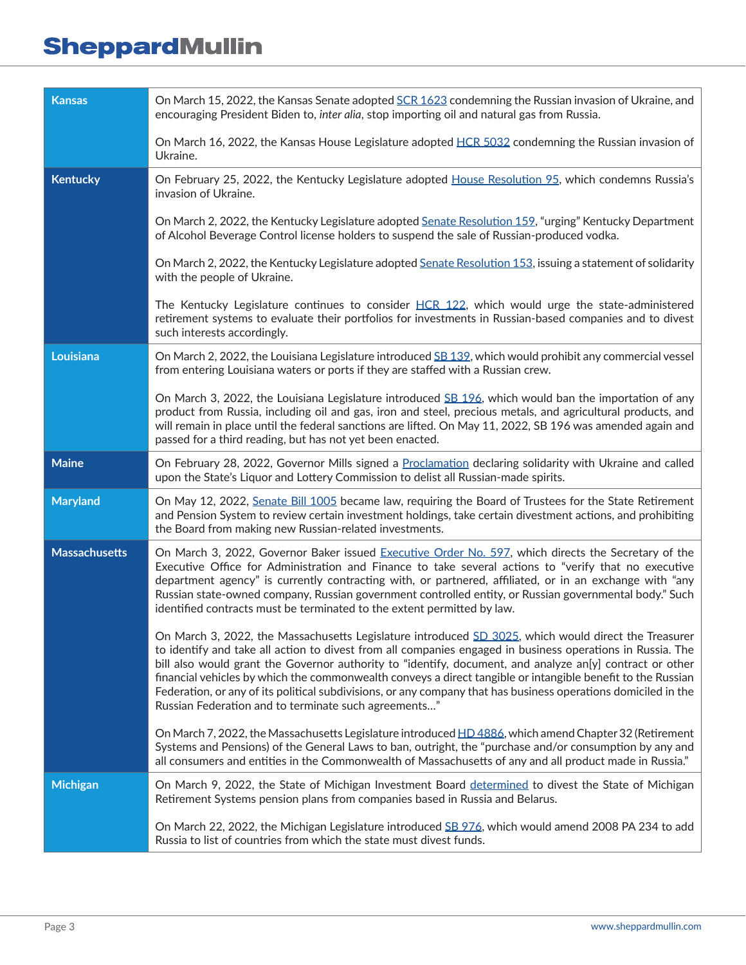| <b>Kansas</b>        | On March 15, 2022, the Kansas Senate adopted SCR 1623 condemning the Russian invasion of Ukraine, and<br>encouraging President Biden to, inter alia, stop importing oil and natural gas from Russia.                                                                                                                                                                                                                                                                                                                                                                                                                    |
|----------------------|-------------------------------------------------------------------------------------------------------------------------------------------------------------------------------------------------------------------------------------------------------------------------------------------------------------------------------------------------------------------------------------------------------------------------------------------------------------------------------------------------------------------------------------------------------------------------------------------------------------------------|
|                      | On March 16, 2022, the Kansas House Legislature adopted HCR 5032 condemning the Russian invasion of<br>Ukraine.                                                                                                                                                                                                                                                                                                                                                                                                                                                                                                         |
| <b>Kentucky</b>      | On February 25, 2022, the Kentucky Legislature adopted House Resolution 95, which condemns Russia's<br>invasion of Ukraine.                                                                                                                                                                                                                                                                                                                                                                                                                                                                                             |
|                      | On March 2, 2022, the Kentucky Legislature adopted Senate Resolution 159, "urging" Kentucky Department<br>of Alcohol Beverage Control license holders to suspend the sale of Russian-produced vodka.                                                                                                                                                                                                                                                                                                                                                                                                                    |
|                      | On March 2, 2022, the Kentucky Legislature adopted Senate Resolution 153, issuing a statement of solidarity<br>with the people of Ukraine.                                                                                                                                                                                                                                                                                                                                                                                                                                                                              |
|                      | The Kentucky Legislature continues to consider HCR 122, which would urge the state-administered<br>retirement systems to evaluate their portfolios for investments in Russian-based companies and to divest<br>such interests accordingly.                                                                                                                                                                                                                                                                                                                                                                              |
| Louisiana            | On March 2, 2022, the Louisiana Legislature introduced SB 132, which would prohibit any commercial vessel<br>from entering Louisiana waters or ports if they are staffed with a Russian crew.                                                                                                                                                                                                                                                                                                                                                                                                                           |
|                      | On March 3, 2022, the Louisiana Legislature introduced $SE$ 196, which would ban the importation of any<br>product from Russia, including oil and gas, iron and steel, precious metals, and agricultural products, and<br>will remain in place until the federal sanctions are lifted. On May 11, 2022, SB 196 was amended again and<br>passed for a third reading, but has not yet been enacted.                                                                                                                                                                                                                       |
| <b>Maine</b>         | On February 28, 2022, Governor Mills signed a Proclamation declaring solidarity with Ukraine and called<br>upon the State's Liquor and Lottery Commission to delist all Russian-made spirits.                                                                                                                                                                                                                                                                                                                                                                                                                           |
| <b>Maryland</b>      | On May 12, 2022, Senate Bill 1005 became law, requiring the Board of Trustees for the State Retirement<br>and Pension System to review certain investment holdings, take certain divestment actions, and prohibiting<br>the Board from making new Russian-related investments.                                                                                                                                                                                                                                                                                                                                          |
| <b>Massachusetts</b> | On March 3, 2022, Governor Baker issued Executive Order No. 597, which directs the Secretary of the<br>Executive Office for Administration and Finance to take several actions to "verify that no executive<br>department agency" is currently contracting with, or partnered, affiliated, or in an exchange with "any<br>Russian state-owned company, Russian government controlled entity, or Russian governmental body." Such<br>identified contracts must be terminated to the extent permitted by law.                                                                                                             |
|                      | On March 3, 2022, the Massachusetts Legislature introduced SD 3025, which would direct the Treasurer<br>to identify and take all action to divest from all companies engaged in business operations in Russia. The<br>bill also would grant the Governor authority to "identify, document, and analyze an[y] contract or other<br>financial vehicles by which the commonwealth conveys a direct tangible or intangible benefit to the Russian<br>Federation, or any of its political subdivisions, or any company that has business operations domiciled in the<br>Russian Federation and to terminate such agreements" |
|                      | On March 7, 2022, the Massachusetts Legislature introduced HD 4886, which amend Chapter 32 (Retirement<br>Systems and Pensions) of the General Laws to ban, outright, the "purchase and/or consumption by any and<br>all consumers and entities in the Commonwealth of Massachusetts of any and all product made in Russia."                                                                                                                                                                                                                                                                                            |
| <b>Michigan</b>      | On March 9, 2022, the State of Michigan Investment Board determined to divest the State of Michigan<br>Retirement Systems pension plans from companies based in Russia and Belarus.                                                                                                                                                                                                                                                                                                                                                                                                                                     |
|                      | On March 22, 2022, the Michigan Legislature introduced SB 976, which would amend 2008 PA 234 to add<br>Russia to list of countries from which the state must divest funds.                                                                                                                                                                                                                                                                                                                                                                                                                                              |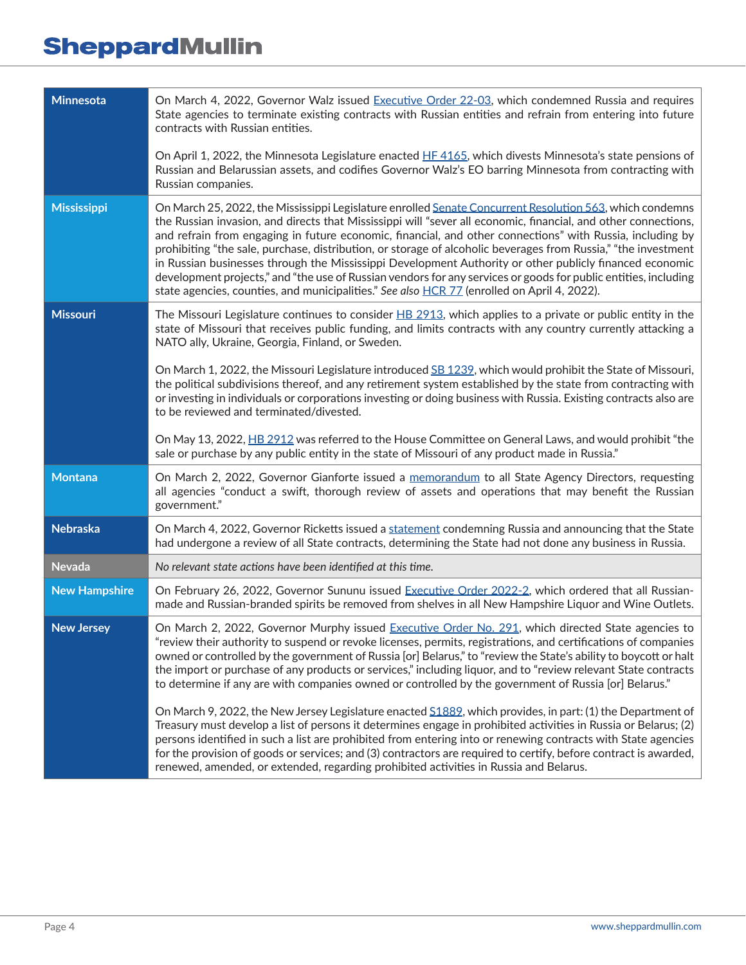| <b>Minnesota</b>     | On March 4, 2022, Governor Walz issued Executive Order 22-03, which condemned Russia and requires<br>State agencies to terminate existing contracts with Russian entities and refrain from entering into future<br>contracts with Russian entities.                                                                                                                                                                                                                                                                                                                                                                                                                                                                                                                                                                                                                                                                                                                                                                                                                                                                                |
|----------------------|------------------------------------------------------------------------------------------------------------------------------------------------------------------------------------------------------------------------------------------------------------------------------------------------------------------------------------------------------------------------------------------------------------------------------------------------------------------------------------------------------------------------------------------------------------------------------------------------------------------------------------------------------------------------------------------------------------------------------------------------------------------------------------------------------------------------------------------------------------------------------------------------------------------------------------------------------------------------------------------------------------------------------------------------------------------------------------------------------------------------------------|
|                      | On April 1, 2022, the Minnesota Legislature enacted HF 4165, which divests Minnesota's state pensions of<br>Russian and Belarussian assets, and codifies Governor Walz's EO barring Minnesota from contracting with<br>Russian companies.                                                                                                                                                                                                                                                                                                                                                                                                                                                                                                                                                                                                                                                                                                                                                                                                                                                                                          |
| <b>Mississippi</b>   | On March 25, 2022, the Mississippi Legislature enrolled Senate Concurrent Resolution 563, which condemns<br>the Russian invasion, and directs that Mississippi will "sever all economic, financial, and other connections,<br>and refrain from engaging in future economic, financial, and other connections" with Russia, including by<br>prohibiting "the sale, purchase, distribution, or storage of alcoholic beverages from Russia," "the investment<br>in Russian businesses through the Mississippi Development Authority or other publicly financed economic<br>development projects," and "the use of Russian vendors for any services or goods for public entities, including<br>state agencies, counties, and municipalities." See also HCR 77 (enrolled on April 4, 2022).                                                                                                                                                                                                                                                                                                                                             |
| <b>Missouri</b>      | The Missouri Legislature continues to consider $H\text{B}$ 2913, which applies to a private or public entity in the<br>state of Missouri that receives public funding, and limits contracts with any country currently attacking a<br>NATO ally, Ukraine, Georgia, Finland, or Sweden.                                                                                                                                                                                                                                                                                                                                                                                                                                                                                                                                                                                                                                                                                                                                                                                                                                             |
|                      | On March 1, 2022, the Missouri Legislature introduced SB 1239, which would prohibit the State of Missouri,<br>the political subdivisions thereof, and any retirement system established by the state from contracting with<br>or investing in individuals or corporations investing or doing business with Russia. Existing contracts also are<br>to be reviewed and terminated/divested.                                                                                                                                                                                                                                                                                                                                                                                                                                                                                                                                                                                                                                                                                                                                          |
|                      | On May 13, 2022, HB 2912 was referred to the House Committee on General Laws, and would prohibit "the<br>sale or purchase by any public entity in the state of Missouri of any product made in Russia."                                                                                                                                                                                                                                                                                                                                                                                                                                                                                                                                                                                                                                                                                                                                                                                                                                                                                                                            |
| <b>Montana</b>       | On March 2, 2022, Governor Gianforte issued a memorandum to all State Agency Directors, requesting<br>all agencies "conduct a swift, thorough review of assets and operations that may benefit the Russian<br>government."                                                                                                                                                                                                                                                                                                                                                                                                                                                                                                                                                                                                                                                                                                                                                                                                                                                                                                         |
| <b>Nebraska</b>      | On March 4, 2022, Governor Ricketts issued a statement condemning Russia and announcing that the State<br>had undergone a review of all State contracts, determining the State had not done any business in Russia.                                                                                                                                                                                                                                                                                                                                                                                                                                                                                                                                                                                                                                                                                                                                                                                                                                                                                                                |
| <b>Nevada</b>        | No relevant state actions have been identified at this time.                                                                                                                                                                                                                                                                                                                                                                                                                                                                                                                                                                                                                                                                                                                                                                                                                                                                                                                                                                                                                                                                       |
| <b>New Hampshire</b> | On February 26, 2022, Governor Sununu issued Executive Order 2022-2, which ordered that all Russian-<br>made and Russian-branded spirits be removed from shelves in all New Hampshire Liquor and Wine Outlets.                                                                                                                                                                                                                                                                                                                                                                                                                                                                                                                                                                                                                                                                                                                                                                                                                                                                                                                     |
| <b>New Jersey</b>    | On March 2, 2022, Governor Murphy issued Executive Order No. 291, which directed State agencies to<br>"review their authority to suspend or revoke licenses, permits, registrations, and certifications of companies<br>owned or controlled by the government of Russia [or] Belarus," to "review the State's ability to boycott or halt<br>the import or purchase of any products or services," including liquor, and to "review relevant State contracts<br>to determine if any are with companies owned or controlled by the government of Russia [or] Belarus."<br>On March 9, 2022, the New Jersey Legislature enacted S1889, which provides, in part: (1) the Department of<br>Treasury must develop a list of persons it determines engage in prohibited activities in Russia or Belarus; (2)<br>persons identified in such a list are prohibited from entering into or renewing contracts with State agencies<br>for the provision of goods or services; and (3) contractors are required to certify, before contract is awarded,<br>renewed, amended, or extended, regarding prohibited activities in Russia and Belarus. |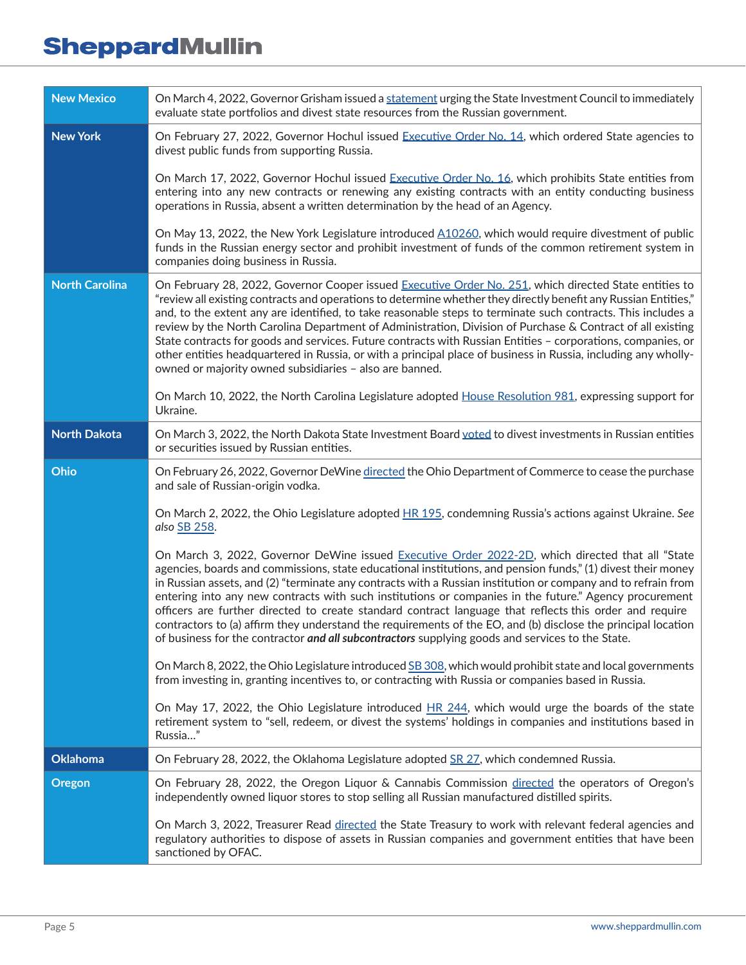| <b>New Mexico</b>     | On March 4, 2022, Governor Grisham issued a statement urging the State Investment Council to immediately<br>evaluate state portfolios and divest state resources from the Russian government.                                                                                                                                                                                                                                                                                                                                                                                                                                                                                                                                                                               |
|-----------------------|-----------------------------------------------------------------------------------------------------------------------------------------------------------------------------------------------------------------------------------------------------------------------------------------------------------------------------------------------------------------------------------------------------------------------------------------------------------------------------------------------------------------------------------------------------------------------------------------------------------------------------------------------------------------------------------------------------------------------------------------------------------------------------|
| <b>New York</b>       | On February 27, 2022, Governor Hochul issued Executive Order No. 14, which ordered State agencies to<br>divest public funds from supporting Russia.                                                                                                                                                                                                                                                                                                                                                                                                                                                                                                                                                                                                                         |
|                       | On March 17, 2022, Governor Hochul issued Executive Order No. 16, which prohibits State entities from<br>entering into any new contracts or renewing any existing contracts with an entity conducting business<br>operations in Russia, absent a written determination by the head of an Agency.                                                                                                                                                                                                                                                                                                                                                                                                                                                                            |
|                       | On May 13, 2022, the New York Legislature introduced A10260, which would require divestment of public<br>funds in the Russian energy sector and prohibit investment of funds of the common retirement system in<br>companies doing business in Russia.                                                                                                                                                                                                                                                                                                                                                                                                                                                                                                                      |
| <b>North Carolina</b> | On February 28, 2022, Governor Cooper issued Executive Order No. 251, which directed State entities to<br>"review all existing contracts and operations to determine whether they directly benefit any Russian Entities,"<br>and, to the extent any are identified, to take reasonable steps to terminate such contracts. This includes a<br>review by the North Carolina Department of Administration, Division of Purchase & Contract of all existing<br>State contracts for goods and services. Future contracts with Russian Entities - corporations, companies, or<br>other entities headquartered in Russia, or with a principal place of business in Russia, including any wholly-<br>owned or majority owned subsidiaries - also are banned.                        |
|                       | On March 10, 2022, the North Carolina Legislature adopted House Resolution 981, expressing support for<br>Ukraine.                                                                                                                                                                                                                                                                                                                                                                                                                                                                                                                                                                                                                                                          |
| <b>North Dakota</b>   | On March 3, 2022, the North Dakota State Investment Board voted to divest investments in Russian entities<br>or securities issued by Russian entities.                                                                                                                                                                                                                                                                                                                                                                                                                                                                                                                                                                                                                      |
| Ohio                  | On February 26, 2022, Governor DeWine directed the Ohio Department of Commerce to cease the purchase<br>and sale of Russian-origin vodka.                                                                                                                                                                                                                                                                                                                                                                                                                                                                                                                                                                                                                                   |
|                       | On March 2, 2022, the Ohio Legislature adopted HR 195, condemning Russia's actions against Ukraine. See<br>also SB 258.                                                                                                                                                                                                                                                                                                                                                                                                                                                                                                                                                                                                                                                     |
|                       | On March 3, 2022, Governor DeWine issued Executive Order 2022-2D, which directed that all "State<br>agencies, boards and commissions, state educational institutions, and pension funds," (1) divest their money<br>in Russian assets, and (2) "terminate any contracts with a Russian institution or company and to refrain from<br>entering into any new contracts with such institutions or companies in the future." Agency procurement<br>officers are further directed to create standard contract language that reflects this order and require<br>contractors to (a) affirm they understand the requirements of the EO, and (b) disclose the principal location<br>of business for the contractor and all subcontractors supplying goods and services to the State. |
|                       | On March 8, 2022, the Ohio Legislature introduced SB 308, which would prohibit state and local governments<br>from investing in, granting incentives to, or contracting with Russia or companies based in Russia.                                                                                                                                                                                                                                                                                                                                                                                                                                                                                                                                                           |
|                       | On May 17, 2022, the Ohio Legislature introduced HR 244, which would urge the boards of the state<br>retirement system to "sell, redeem, or divest the systems' holdings in companies and institutions based in<br>Russia"                                                                                                                                                                                                                                                                                                                                                                                                                                                                                                                                                  |
| <b>Oklahoma</b>       | On February 28, 2022, the Oklahoma Legislature adopted SR 27, which condemned Russia.                                                                                                                                                                                                                                                                                                                                                                                                                                                                                                                                                                                                                                                                                       |
| <b>Oregon</b>         | On February 28, 2022, the Oregon Liquor & Cannabis Commission directed the operators of Oregon's<br>independently owned liquor stores to stop selling all Russian manufactured distilled spirits.                                                                                                                                                                                                                                                                                                                                                                                                                                                                                                                                                                           |
|                       | On March 3, 2022, Treasurer Read directed the State Treasury to work with relevant federal agencies and<br>regulatory authorities to dispose of assets in Russian companies and government entities that have been<br>sanctioned by OFAC.                                                                                                                                                                                                                                                                                                                                                                                                                                                                                                                                   |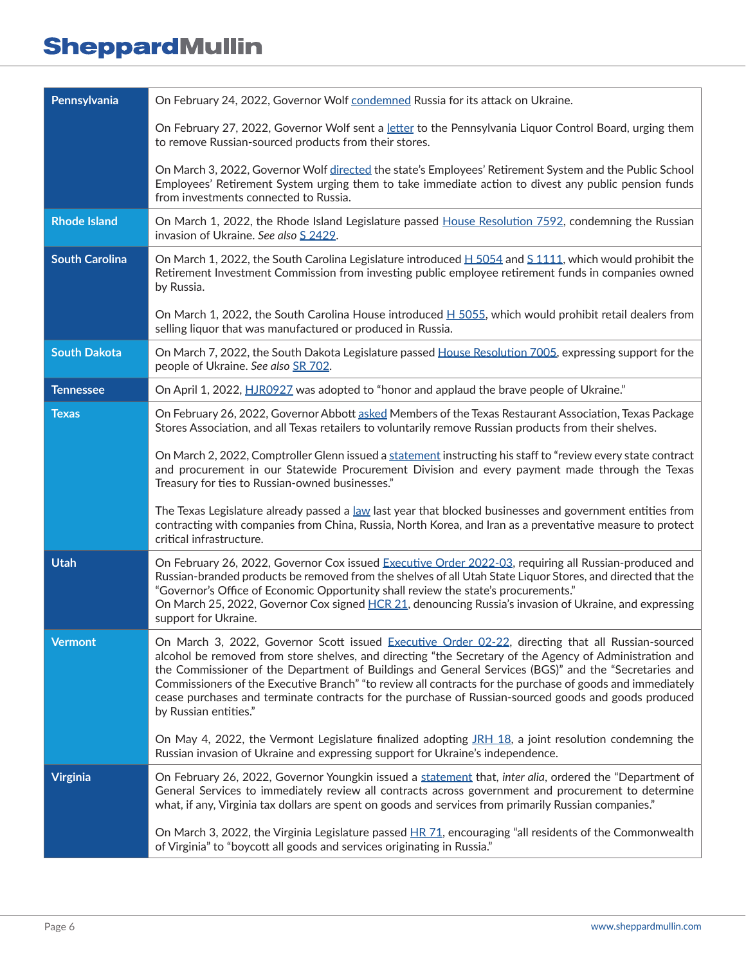| Pennsylvania          | On February 24, 2022, Governor Wolf condemned Russia for its attack on Ukraine.                                                                                                                                                                                                                                                                                                                                                                                                                                                                                    |
|-----------------------|--------------------------------------------------------------------------------------------------------------------------------------------------------------------------------------------------------------------------------------------------------------------------------------------------------------------------------------------------------------------------------------------------------------------------------------------------------------------------------------------------------------------------------------------------------------------|
|                       | On February 27, 2022, Governor Wolf sent a letter to the Pennsylvania Liquor Control Board, urging them<br>to remove Russian-sourced products from their stores.                                                                                                                                                                                                                                                                                                                                                                                                   |
|                       | On March 3, 2022, Governor Wolf directed the state's Employees' Retirement System and the Public School<br>Employees' Retirement System urging them to take immediate action to divest any public pension funds<br>from investments connected to Russia.                                                                                                                                                                                                                                                                                                           |
| <b>Rhode Island</b>   | On March 1, 2022, the Rhode Island Legislature passed House Resolution 7592, condemning the Russian<br>invasion of Ukraine. See also S 2429.                                                                                                                                                                                                                                                                                                                                                                                                                       |
| <b>South Carolina</b> | On March 1, 2022, the South Carolina Legislature introduced $H$ 5054 and S 1111, which would prohibit the<br>Retirement Investment Commission from investing public employee retirement funds in companies owned<br>by Russia.                                                                                                                                                                                                                                                                                                                                     |
|                       | On March 1, 2022, the South Carolina House introduced $H$ 5055, which would prohibit retail dealers from<br>selling liquor that was manufactured or produced in Russia.                                                                                                                                                                                                                                                                                                                                                                                            |
| <b>South Dakota</b>   | On March 7, 2022, the South Dakota Legislature passed House Resolution 7005, expressing support for the<br>people of Ukraine. See also SR 702.                                                                                                                                                                                                                                                                                                                                                                                                                     |
| <b>Tennessee</b>      | On April 1, 2022, HJR0927 was adopted to "honor and applaud the brave people of Ukraine."                                                                                                                                                                                                                                                                                                                                                                                                                                                                          |
| Texas                 | On February 26, 2022, Governor Abbott asked Members of the Texas Restaurant Association, Texas Package<br>Stores Association, and all Texas retailers to voluntarily remove Russian products from their shelves.                                                                                                                                                                                                                                                                                                                                                   |
|                       | On March 2, 2022, Comptroller Glenn issued a statement instructing his staff to "review every state contract<br>and procurement in our Statewide Procurement Division and every payment made through the Texas<br>Treasury for ties to Russian-owned businesses."                                                                                                                                                                                                                                                                                                  |
|                       | The Texas Legislature already passed a law last year that blocked businesses and government entities from<br>contracting with companies from China, Russia, North Korea, and Iran as a preventative measure to protect<br>critical infrastructure.                                                                                                                                                                                                                                                                                                                 |
| <b>Utah</b>           | On February 26, 2022, Governor Cox issued Executive Order 2022-03, requiring all Russian-produced and<br>Russian-branded products be removed from the shelves of all Utah State Liquor Stores, and directed that the<br>"Governor's Office of Economic Opportunity shall review the state's procurements."<br>On March 25, 2022, Governor Cox signed HCR 21, denouncing Russia's invasion of Ukraine, and expressing<br>support for Ukraine.                                                                                                                       |
| <b>Vermont</b>        | On March 3, 2022, Governor Scott issued Executive Order 02-22, directing that all Russian-sourced<br>alcohol be removed from store shelves, and directing "the Secretary of the Agency of Administration and<br>the Commissioner of the Department of Buildings and General Services (BGS)" and the "Secretaries and<br>Commissioners of the Executive Branch" "to review all contracts for the purchase of goods and immediately<br>cease purchases and terminate contracts for the purchase of Russian-sourced goods and goods produced<br>by Russian entities." |
|                       | On May 4, 2022, the Vermont Legislature finalized adopting JRH 18, a joint resolution condemning the<br>Russian invasion of Ukraine and expressing support for Ukraine's independence.                                                                                                                                                                                                                                                                                                                                                                             |
| <b>Virginia</b>       | On February 26, 2022, Governor Youngkin issued a statement that, inter alia, ordered the "Department of<br>General Services to immediately review all contracts across government and procurement to determine<br>what, if any, Virginia tax dollars are spent on goods and services from primarily Russian companies."                                                                                                                                                                                                                                            |
|                       | On March 3, 2022, the Virginia Legislature passed HR 71, encouraging "all residents of the Commonwealth<br>of Virginia" to "boycott all goods and services originating in Russia."                                                                                                                                                                                                                                                                                                                                                                                 |